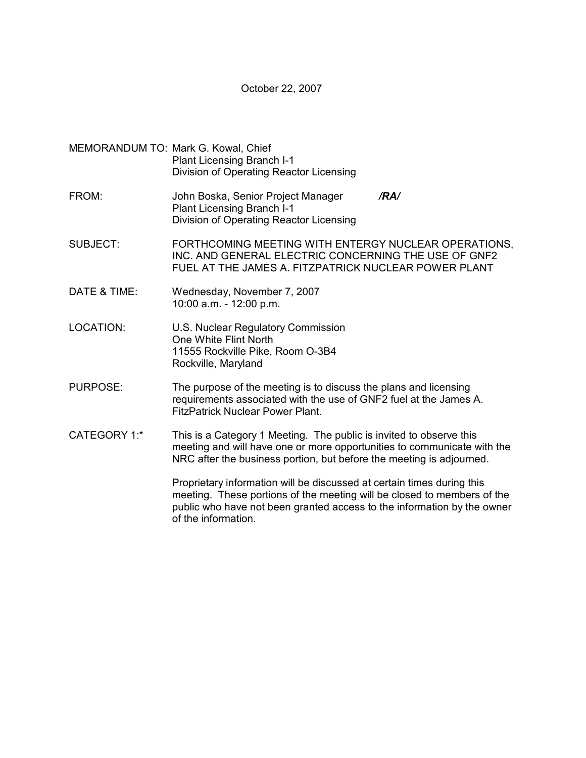October 22, 2007

- MEMORANDUM TO: Mark G. Kowal, Chief Plant Licensing Branch I-1 Division of Operating Reactor Licensing
- FROM: John Boska, Senior Project Manager */RA/*  Plant Licensing Branch I-1 Division of Operating Reactor Licensing
- SUBJECT: FORTHCOMING MEETING WITH ENTERGY NUCLEAR OPERATIONS, INC. AND GENERAL ELECTRIC CONCERNING THE USE OF GNF2 FUEL AT THE JAMES A. FITZPATRICK NUCLEAR POWER PLANT
- DATE & TIME: Wednesday, November 7, 2007 10:00 a.m. - 12:00 p.m.
- LOCATION: U.S. Nuclear Regulatory Commission One White Flint North 11555 Rockville Pike, Room O-3B4 Rockville, Maryland
- PURPOSE: The purpose of the meeting is to discuss the plans and licensing requirements associated with the use of GNF2 fuel at the James A. FitzPatrick Nuclear Power Plant.
- CATEGORY 1:\* This is a Category 1 Meeting. The public is invited to observe this meeting and will have one or more opportunities to communicate with the NRC after the business portion, but before the meeting is adjourned.

Proprietary information will be discussed at certain times during this meeting. These portions of the meeting will be closed to members of the public who have not been granted access to the information by the owner of the information.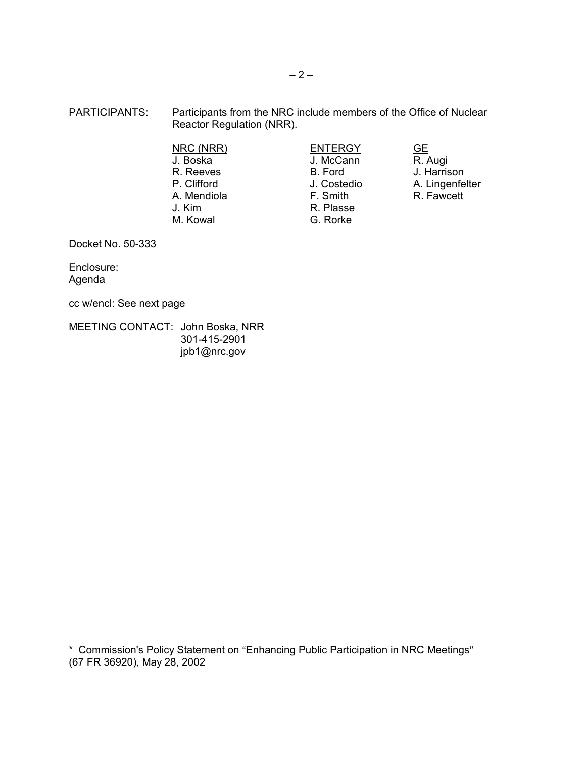- PARTICIPANTS: Participants from the NRC include members of the Office of Nuclear Reactor Regulation (NRR).
	- A. Mendiola J. Kim **R. Plasse**<br>
	M. Kowal **R. Plasse**<br>
	G. Rorke

NRC (NRR) ENTERGY GE J. McCann R. Reeves B. Ford J. Harrison<br>
P. Clifford J. Costedio A. Lingenfel G. Rorke

J. Costedio A. Lingenfelter<br>
F. Smith R. Fawcett

Docket No. 50-333

Enclosure: Agenda

cc w/encl: See next page

MEETING CONTACT: John Boska, NRR 301-415-2901 jpb1@nrc.gov

\* Commission's Policy Statement on "Enhancing Public Participation in NRC Meetings" (67 FR 36920), May 28, 2002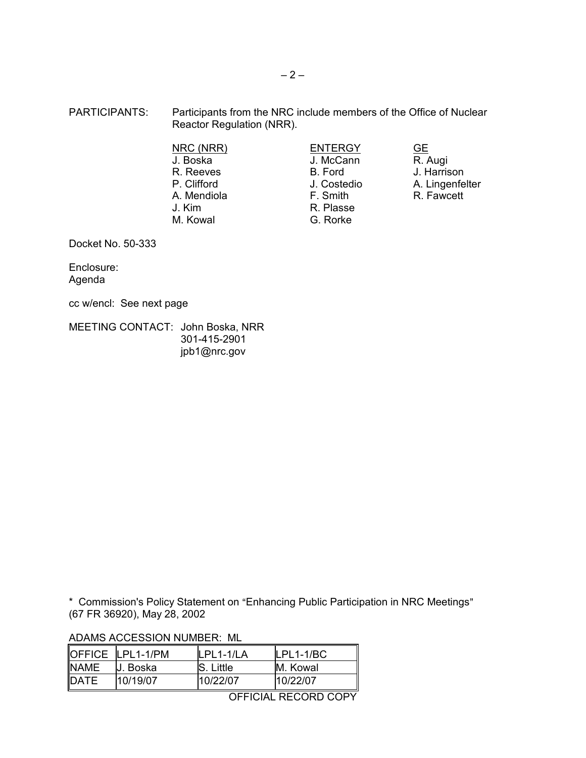- PARTICIPANTS: Participants from the NRC include members of the Office of Nuclear Reactor Regulation (NRR).
	- NRC (NRR) ENTERGY GE J. Boska J. McCann R. Reeves B. Ford J. Harrison A. Mendiola J. Kim R. Plasse M. Kowal G. Rorke

P. Clifford **Canadia Control** J. Costedio A. Lingenfelter A. Mendiola Costedio A. Lingenfelter

Docket No. 50-333

Enclosure: Agenda

cc w/encl: See next page

MEETING CONTACT: John Boska, NRR 301-415-2901 jpb1@nrc.gov

\* Commission's Policy Statement on "Enhancing Public Participation in NRC Meetings" (67 FR 36920), May 28, 2002

ADAMS ACCESSION NUMBER: ML

|             | OFFICE LPL1-1/PM | PI 1-1/I A       | $LPL1-1/BC$ |
|-------------|------------------|------------------|-------------|
| <b>NAME</b> | IJ. Boska        | <b>S.</b> Little | M. Kowal    |
| DATE        | 10/19/07         | 10/22/07         | 10/22/07    |

OFFICIAL RECORD COPY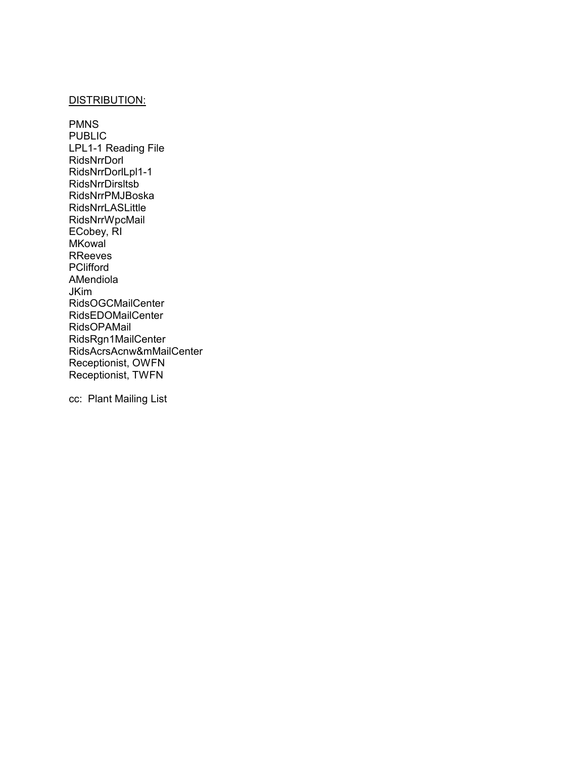## DISTRIBUTION:

PMNS PUBLIC LPL1-1 Reading File RidsNrrDorl RidsNrrDorlLpl1-1 RidsNrrDirsltsb RidsNrrPMJBoska RidsNrrLASLittle RidsNrrWpcMail ECobey, RI **MKowal** RReeves **PClifford** AMendiola JKim RidsOGCMailCenter RidsEDOMailCenter RidsOPAMail RidsRgn1MailCenter RidsAcrsAcnw&mMailCenter Receptionist, OWFN Receptionist, TWFN

cc: Plant Mailing List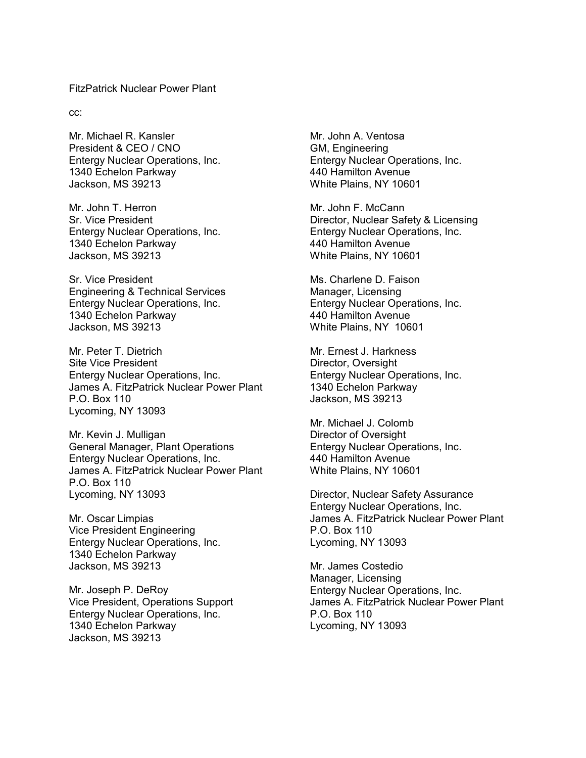## FitzPatrick Nuclear Power Plant

cc:

Mr. Michael R. Kansler President & CEO / CNO Entergy Nuclear Operations, Inc. 1340 Echelon Parkway Jackson, MS 39213

Mr. John T. Herron Sr. Vice President Entergy Nuclear Operations, Inc. 1340 Echelon Parkway Jackson, MS 39213

Sr. Vice President Engineering & Technical Services Entergy Nuclear Operations, Inc. 1340 Echelon Parkway Jackson, MS 39213

Mr. Peter T. Dietrich Site Vice President Entergy Nuclear Operations, Inc. James A. FitzPatrick Nuclear Power Plant P.O. Box 110 Lycoming, NY 13093

Mr. Kevin J. Mulligan General Manager, Plant Operations Entergy Nuclear Operations, Inc. James A. FitzPatrick Nuclear Power Plant P.O. Box 110 Lycoming, NY 13093

Mr. Oscar Limpias Vice President Engineering Entergy Nuclear Operations, Inc. 1340 Echelon Parkway Jackson, MS 39213

Mr. Joseph P. DeRoy Vice President, Operations Support Entergy Nuclear Operations, Inc. 1340 Echelon Parkway Jackson, MS 39213

Mr. John A. Ventosa GM, Engineering Entergy Nuclear Operations, Inc. 440 Hamilton Avenue White Plains, NY 10601

Mr. John F. McCann Director, Nuclear Safety & Licensing Entergy Nuclear Operations, Inc. 440 Hamilton Avenue White Plains, NY 10601

Ms. Charlene D. Faison Manager, Licensing Entergy Nuclear Operations, Inc. 440 Hamilton Avenue White Plains, NY 10601

Mr. Ernest J. Harkness Director, Oversight Entergy Nuclear Operations, Inc. 1340 Echelon Parkway Jackson, MS 39213

Mr. Michael J. Colomb Director of Oversight Entergy Nuclear Operations, Inc. 440 Hamilton Avenue White Plains, NY 10601

Director, Nuclear Safety Assurance Entergy Nuclear Operations, Inc. James A. FitzPatrick Nuclear Power Plant P.O. Box 110 Lycoming, NY 13093

Mr. James Costedio Manager, Licensing Entergy Nuclear Operations, Inc. James A. FitzPatrick Nuclear Power Plant P.O. Box 110 Lycoming, NY 13093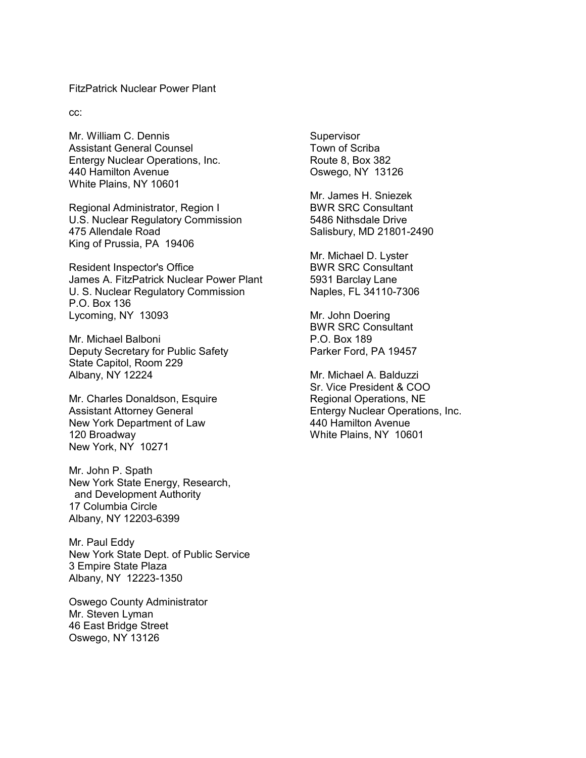FitzPatrick Nuclear Power Plant

cc:

Mr. William C. Dennis Assistant General Counsel Entergy Nuclear Operations, Inc. 440 Hamilton Avenue White Plains, NY 10601

Regional Administrator, Region I U.S. Nuclear Regulatory Commission 475 Allendale Road King of Prussia, PA 19406

Resident Inspector's Office James A. FitzPatrick Nuclear Power Plant U. S. Nuclear Regulatory Commission P.O. Box 136 Lycoming, NY 13093

Mr. Michael Balboni Deputy Secretary for Public Safety State Capitol, Room 229 Albany, NY 12224

Mr. Charles Donaldson, Esquire Assistant Attorney General New York Department of Law 120 Broadway New York, NY 10271

Mr. John P. Spath New York State Energy, Research, and Development Authority 17 Columbia Circle Albany, NY 12203-6399

Mr. Paul Eddy New York State Dept. of Public Service 3 Empire State Plaza Albany, NY 12223-1350

Oswego County Administrator Mr. Steven Lyman 46 East Bridge Street Oswego, NY 13126

Supervisor Town of Scriba Route 8, Box 382 Oswego, NY 13126

Mr. James H. Sniezek BWR SRC Consultant 5486 Nithsdale Drive Salisbury, MD 21801-2490

Mr. Michael D. Lyster BWR SRC Consultant 5931 Barclay Lane Naples, FL 34110-7306

Mr. John Doering BWR SRC Consultant P.O. Box 189 Parker Ford, PA 19457

Mr. Michael A. Balduzzi Sr. Vice President & COO Regional Operations, NE Entergy Nuclear Operations, Inc. 440 Hamilton Avenue White Plains, NY 10601